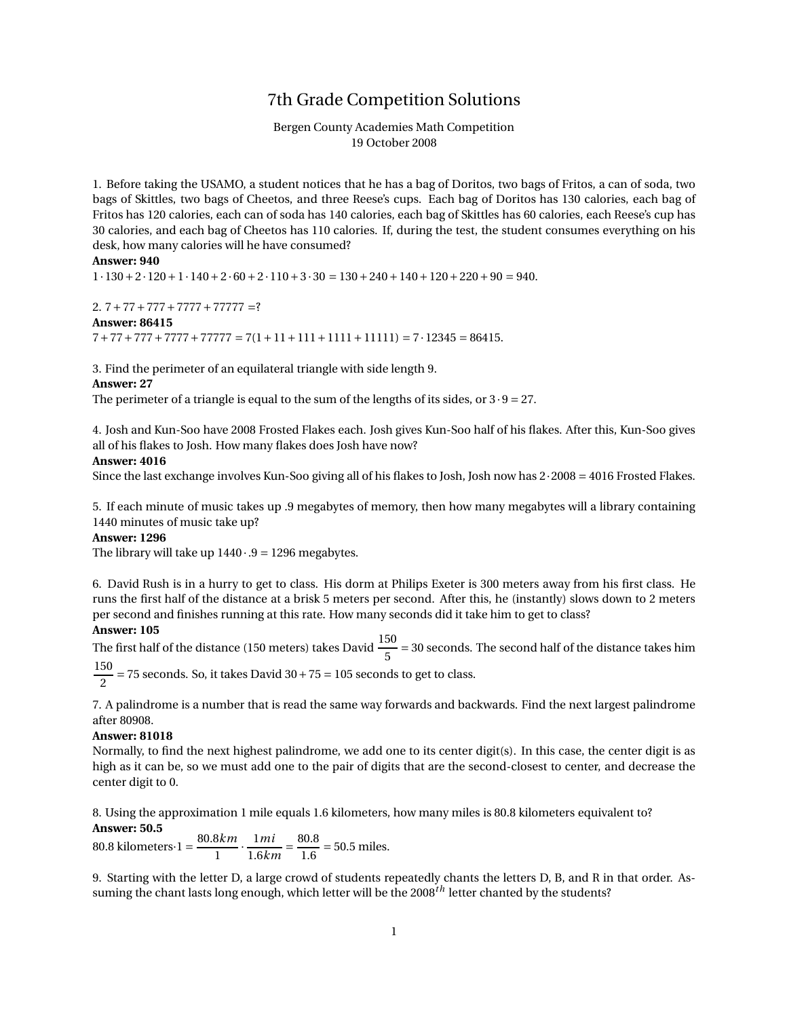## 7th Grade Competition Solutions

### Bergen County Academies Math Competition 19 October 2008

1. Before taking the USAMO, a student notices that he has a bag of Doritos, two bags of Fritos, a can of soda, two bags of Skittles, two bags of Cheetos, and three Reese's cups. Each bag of Doritos has 130 calories, each bag of Fritos has 120 calories, each can of soda has 140 calories, each bag of Skittles has 60 calories, each Reese's cup has 30 calories, and each bag of Cheetos has 110 calories. If, during the test, the student consumes everything on his desk, how many calories will he have consumed?

#### **Answer: 940**

 $1.130 + 2.120 + 1.140 + 2.60 + 2.110 + 3.30 = 130 + 240 + 140 + 120 + 220 + 90 = 940.$ 

## 2.  $7+77+777+7777+77777 = ?$ **Answer: 86415**  $7+77+777+7777+77777 = 7(1+11+111+1111+11111) = 7.12345 = 86415.$

3. Find the perimeter of an equilateral triangle with side length 9.

#### **Answer: 27**

The perimeter of a triangle is equal to the sum of the lengths of its sides, or  $3 \cdot 9 = 27$ .

4. Josh and Kun-Soo have 2008 Frosted Flakes each. Josh gives Kun-Soo half of his flakes. After this, Kun-Soo gives all of his flakes to Josh. How many flakes does Josh have now?

#### **Answer: 4016**

Since the last exchange involves Kun-Soo giving all of his flakes to Josh, Josh now has 2·2008 = 4016 Frosted Flakes.

5. If each minute of music takes up .9 megabytes of memory, then how many megabytes will a library containing 1440 minutes of music take up?

#### **Answer: 1296**

The library will take up  $1440 \cdot .9 = 1296$  megabytes.

6. David Rush is in a hurry to get to class. His dorm at Philips Exeter is 300 meters away from his first class. He runs the first half of the distance at a brisk 5 meters per second. After this, he (instantly) slows down to 2 meters per second and finishes running at this rate. How many seconds did it take him to get to class?

#### **Answer: 105**

The first half of the distance (150 meters) takes David  $\frac{150}{5}$  = 30 seconds. The second half of the distance takes him 150

2  $= 75$  seconds. So, it takes David  $30 + 75 = 105$  seconds to get to class.

7. A palindrome is a number that is read the same way forwards and backwards. Find the next largest palindrome after 80908.

#### **Answer: 81018**

Normally, to find the next highest palindrome, we add one to its center digit(s). In this case, the center digit is as high as it can be, so we must add one to the pair of digits that are the second-closest to center, and decrease the center digit to 0.

8. Using the approximation 1 mile equals 1.6 kilometers, how many miles is 80.8 kilometers equivalent to? **Answer: 50.5**

80.8 kilometers·1 = 
$$
\frac{80.8km}{1} \cdot \frac{1mi}{1.6km} = \frac{80.8}{1.6} = 50.5
$$
 miles.

9. Starting with the letter D, a large crowd of students repeatedly chants the letters D, B, and R in that order. Assuming the chant lasts long enough, which letter will be the 2008*th* letter chanted by the students?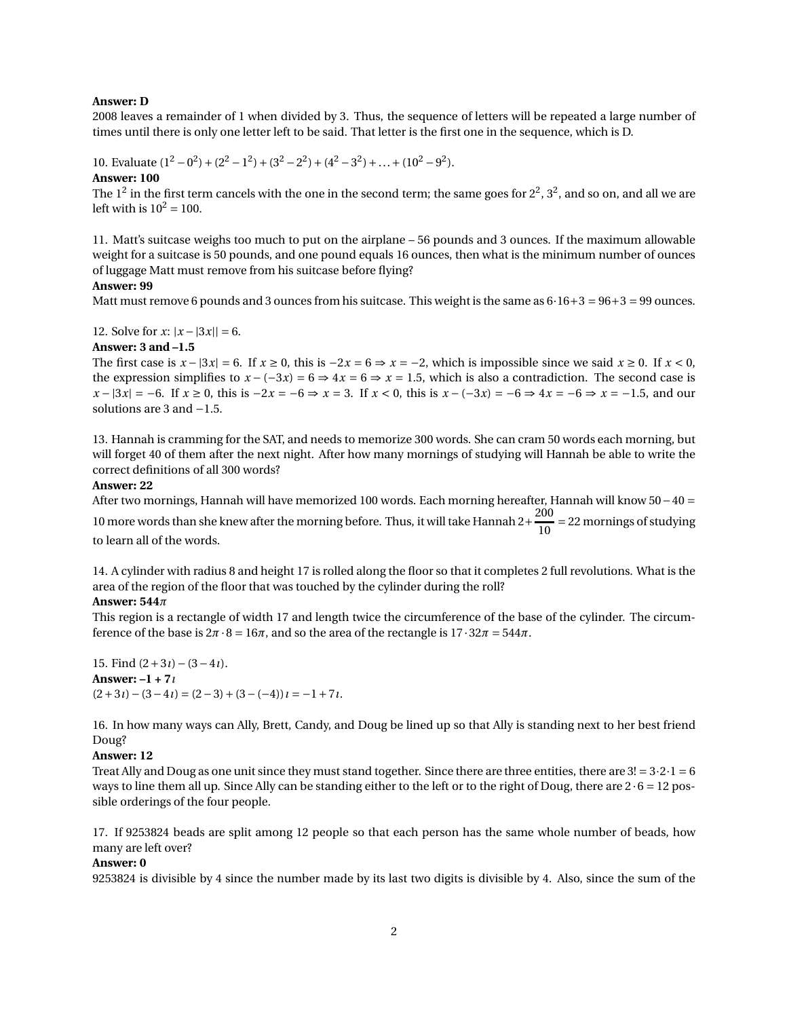#### **Answer: D**

2008 leaves a remainder of 1 when divided by 3. Thus, the sequence of letters will be repeated a large number of times until there is only one letter left to be said. That letter is the first one in the sequence, which is D.

10. Evaluate  $(1^2 - 0^2) + (2^2 - 1^2) + (3^2 - 2^2) + (4^2 - 3^2) + ... + (10^2 - 9^2)$ .

#### **Answer: 100**

The  $1^2$  in the first term cancels with the one in the second term; the same goes for  $2^2$ ,  $3^2$ , and so on, and all we are left with is  $10^2 = 100$ .

11. Matt's suitcase weighs too much to put on the airplane – 56 pounds and 3 ounces. If the maximum allowable weight for a suitcase is 50 pounds, and one pound equals 16 ounces, then what is the minimum number of ounces of luggage Matt must remove from his suitcase before flying?

#### **Answer: 99**

Matt must remove 6 pounds and 3 ounces from his suitcase. This weight is the same as  $6 \cdot 16 + 3 = 96 + 3 = 99$  ounces.

12. Solve for *x*:  $|x - 3x|| = 6$ .

#### **Answer: 3 and –1.5**

The first case is  $x - |3x| = 6$ . If  $x \ge 0$ , this is  $-2x = 6 \Rightarrow x = -2$ , which is impossible since we said  $x \ge 0$ . If  $x < 0$ , the expression simplifies to  $x - (-3x) = 6 \Rightarrow 4x = 6 \Rightarrow x = 1.5$ , which is also a contradiction. The second case is *x* − |3*x*| = −6. If  $x \ge 0$ , this is −2 $x = -6 \Rightarrow x = 3$ . If  $x < 0$ , this is  $x - (-3x) = -6 \Rightarrow 4x = -6 \Rightarrow x = -1.5$ , and our solutions are 3 and −1.5.

13. Hannah is cramming for the SAT, and needs to memorize 300 words. She can cram 50 words each morning, but will forget 40 of them after the next night. After how many mornings of studying will Hannah be able to write the correct definitions of all 300 words?

#### **Answer: 22**

After two mornings, Hannah will have memorized 100 words. Each morning hereafter, Hannah will know 50−40 =

10 more words than she knew after the morning before. Thus, it will take Hannah 2+ $\frac{200}{10}$  $\frac{10}{10}$  = 22 mornings of studying

to learn all of the words.

14. A cylinder with radius 8 and height 17 is rolled along the floor so that it completes 2 full revolutions. What is the area of the region of the floor that was touched by the cylinder during the roll?

#### **Answer: 544***π*

This region is a rectangle of width 17 and length twice the circumference of the base of the cylinder. The circumference of the base is  $2\pi \cdot 8 = 16\pi$ , and so the area of the rectangle is  $17 \cdot 32\pi = 544\pi$ .

15. Find (2+3*ı*)−(3−4*ı*). **Answer: –1 + 7***ı*  $(2+3i)-(3-4i)=(2-3)+(3-(-4))i=-1+7i$ .

16. In how many ways can Ally, Brett, Candy, and Doug be lined up so that Ally is standing next to her best friend Doug?

### **Answer: 12**

Treat Ally and Doug as one unit since they must stand together. Since there are three entities, there are  $3! = 3 \cdot 2 \cdot 1 = 6$ ways to line them all up. Since Ally can be standing either to the left or to the right of Doug, there are  $2 \cdot 6 = 12$  possible orderings of the four people.

17. If 9253824 beads are split among 12 people so that each person has the same whole number of beads, how many are left over?

#### **Answer: 0**

9253824 is divisible by 4 since the number made by its last two digits is divisible by 4. Also, since the sum of the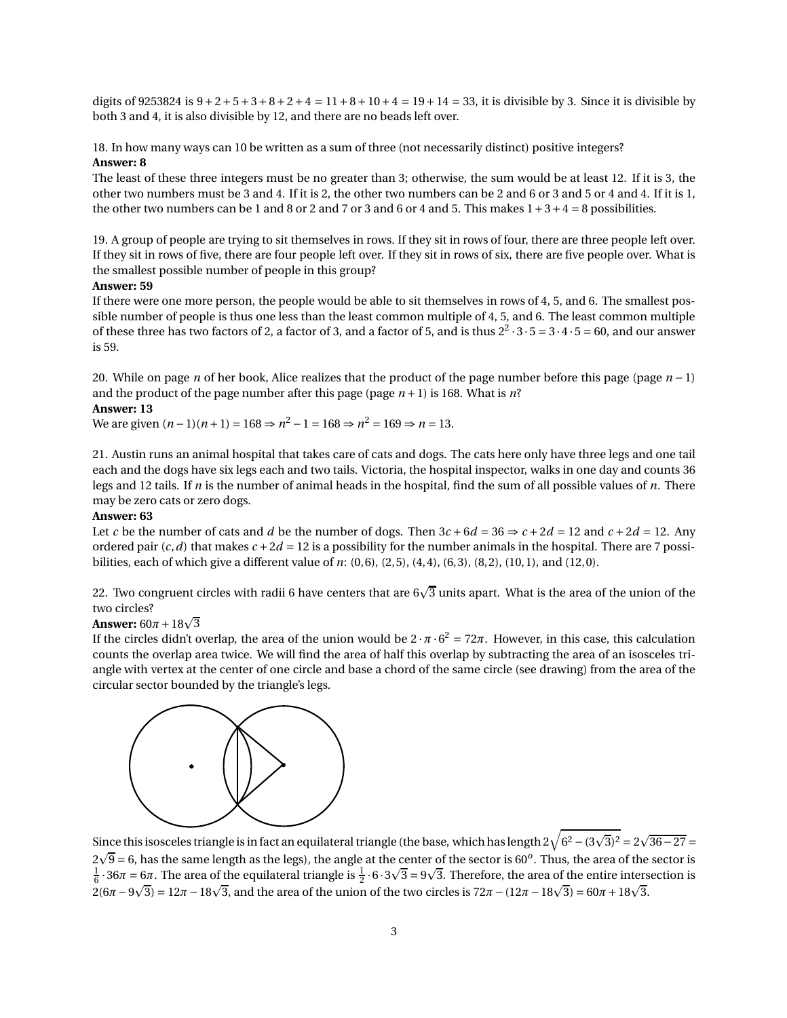digits of 9253824 is  $9+2+5+3+8+2+4=11+8+10+4=19+14=33$ , it is divisible by 3. Since it is divisible by both 3 and 4, it is also divisible by 12, and there are no beads left over.

18. In how many ways can 10 be written as a sum of three (not necessarily distinct) positive integers? **Answer: 8**

The least of these three integers must be no greater than 3; otherwise, the sum would be at least 12. If it is 3, the other two numbers must be 3 and 4. If it is 2, the other two numbers can be 2 and 6 or 3 and 5 or 4 and 4. If it is 1, the other two numbers can be 1 and 8 or 2 and 7 or 3 and 6 or 4 and 5. This makes  $1+3+4=8$  possibilities.

19. A group of people are trying to sit themselves in rows. If they sit in rows of four, there are three people left over. If they sit in rows of five, there are four people left over. If they sit in rows of six, there are five people over. What is the smallest possible number of people in this group?

#### **Answer: 59**

If there were one more person, the people would be able to sit themselves in rows of 4, 5, and 6. The smallest possible number of people is thus one less than the least common multiple of 4, 5, and 6. The least common multiple of these three has two factors of 2, a factor of 3, and a factor of 5, and is thus  $2^2 \cdot 3 \cdot 5 = 3 \cdot 4 \cdot 5 = 60$ , and our answer is 59.

20. While on page *n* of her book, Alice realizes that the product of the page number before this page (page *n* − 1) and the product of the page number after this page (page  $n+1$ ) is 168. What is  $n$ ? **Answer: 13**

We are given  $(n-1)(n+1) = 168 \Rightarrow n^2 - 1 = 168 \Rightarrow n^2 = 169 \Rightarrow n = 13.$ 

21. Austin runs an animal hospital that takes care of cats and dogs. The cats here only have three legs and one tail each and the dogs have six legs each and two tails. Victoria, the hospital inspector, walks in one day and counts 36 legs and 12 tails. If *n* is the number of animal heads in the hospital, find the sum of all possible values of *n*. There may be zero cats or zero dogs.

### **Answer: 63**

Let *c* be the number of cats and *d* be the number of dogs. Then  $3c + 6d = 36 \Rightarrow c + 2d = 12$  and  $c + 2d = 12$ . Any ordered pair  $(c, d)$  that makes  $c + 2d = 12$  is a possibility for the number animals in the hospital. There are 7 possibilities, each of which give a different value of *n*: (0,6), (2,5), (4,4), (6,3), (8,2), (10,1), and (12,0).

22. Two congruent circles with radii 6 have centers that are 6 $\sqrt{3}$  units apart. What is the area of the union of the two circles?

# **Answer:**  $60\pi + 18\sqrt{3}$

If the circles didn't overlap, the area of the union would be  $2 \cdot \pi \cdot 6^2 = 72\pi$ . However, in this case, this calculation counts the overlap area twice. We will find the area of half this overlap by subtracting the area of an isosceles triangle with vertex at the center of one circle and base a chord of the same circle (see drawing) from the area of the circular sector bounded by the triangle's legs.



Since this isosceles triangle is in fact an equilateral triangle (the base, which has length 2 $\sqrt{6^2 - (3\sqrt{3})^2} = 2\sqrt{36-27} =$  $2\sqrt{9}$  = 6, has the same length as the legs), the angle at the center of the sector is 60<sup>o</sup>. Thus, the area of the sector is  $\frac{1}{6}$  · 36 $\pi$  = 6 $\pi$ . The area of the equilateral triangle is  $\frac{1}{2} \cdot 6 \cdot 3\sqrt{3} = 9\sqrt{3}$ . Therefore, the area of the entire intersection is  $2(6π – 9√3) = 12π – 18√3$ , and the area of the union of the two circles is  $72π – (12π – 18√3) = 60π + 18√3$ .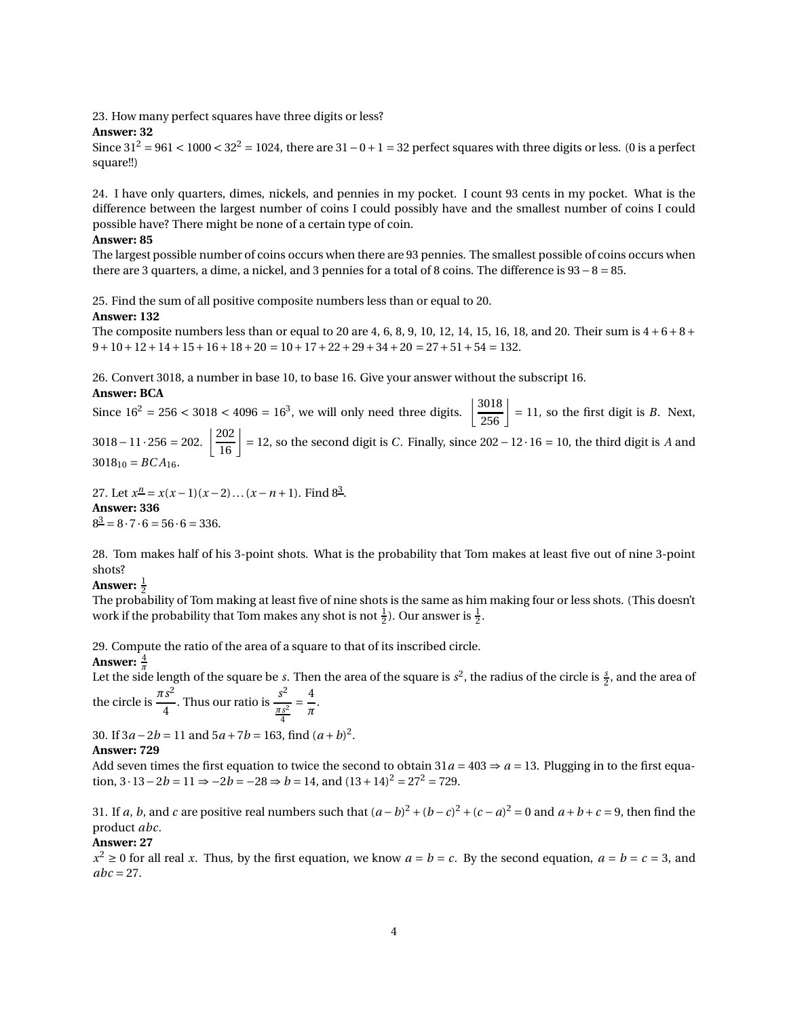23. How many perfect squares have three digits or less?

#### **Answer: 32**

Since  $31^2 = 961 < 1000 < 32^2 = 1024$ , there are  $31 - 0 + 1 = 32$  perfect squares with three digits or less. (0 is a perfect square!!)

24. I have only quarters, dimes, nickels, and pennies in my pocket. I count 93 cents in my pocket. What is the difference between the largest number of coins I could possibly have and the smallest number of coins I could possible have? There might be none of a certain type of coin.

#### **Answer: 85**

The largest possible number of coins occurs when there are 93 pennies. The smallest possible of coins occurs when there are 3 quarters, a dime, a nickel, and 3 pennies for a total of 8 coins. The difference is 93−8 = 85.

25. Find the sum of all positive composite numbers less than or equal to 20.

#### **Answer: 132**

The composite numbers less than or equal to 20 are 4, 6, 8, 9, 10, 12, 14, 15, 16, 18, and 20. Their sum is  $4+6+8+$  $9+10+12+14+15+16+18+20 = 10+17+22+29+34+20 = 27+51+54 = 132.$ 

26. Convert 3018, a number in base 10, to base 16. Give your answer without the subscript 16.

#### **Answer: BCA**

Since  $16^2 = 256 < 3018 < 4096 = 16^3$ , we will only need three digits.  $\left[ \frac{3018}{256} \right] = 11$ , so the first digit is *B*. Next,  $3018 - 11 \cdot 256 = 202.$   $\left\lfloor \frac{202}{16} \right\rfloor = 12$ , so the second digit is *C*. Finally, since 202−12⋅16 = 10, the third digit is *A* and  $3018_{10} = BCA_{16}.$ 

27. Let  $x^{\underline{n}} = x(x-1)(x-2)...(x-n+1)$ . Find  $8^{\underline{3}}$ . **Answer: 336**  $8^{\underline{3}} = 8 \cdot 7 \cdot 6 = 56 \cdot 6 = 336.$ 

28. Tom makes half of his 3-point shots. What is the probability that Tom makes at least five out of nine 3-point shots?

## Answer:  $\frac{1}{2}$

The probability of Tom making at least five of nine shots is the same as him making four or less shots. (This doesn't work if the probability that Tom makes any shot is not  $\frac{1}{2}$ ). Our answer is  $\frac{1}{2}$ .

29. Compute the ratio of the area of a square to that of its inscribed circle.

#### **Answer:**  $\frac{4}{\pi}$

*π* Let the side length of the square be *s*. Then the area of the square is *s* 2 , the radius of the circle is *<sup>s</sup>* 2 , and the area of *πs* 2 *s* 2 4

the circle is 
$$
\frac{\pi s}{4}
$$
. Thus our ratio is  $\frac{s}{\frac{\pi s^2}{4}} = \frac{1}{\pi}$ .

30. If  $3a - 2b = 11$  and  $5a + 7b = 163$ , find  $(a + b)^2$ .

#### **Answer: 729**

Add seven times the first equation to twice the second to obtain  $31a = 403 \Rightarrow a = 13$ . Plugging in to the first equation,  $3 \cdot 13 - 2b = 11 \Rightarrow -2b = -28 \Rightarrow b = 14$ , and  $(13 + 14)^2 = 27^2 = 729$ .

31. If *a*, *b*, and *c* are positive real numbers such that  $(a - b)^2 + (b - c)^2 + (c - a)^2 = 0$  and  $a + b + c = 9$ , then find the product *abc*.

#### **Answer: 27**

 $x^2 \ge 0$  for all real *x*. Thus, by the first equation, we know  $a = b = c$ . By the second equation,  $a = b = c = 3$ , and  $abc = 27$ .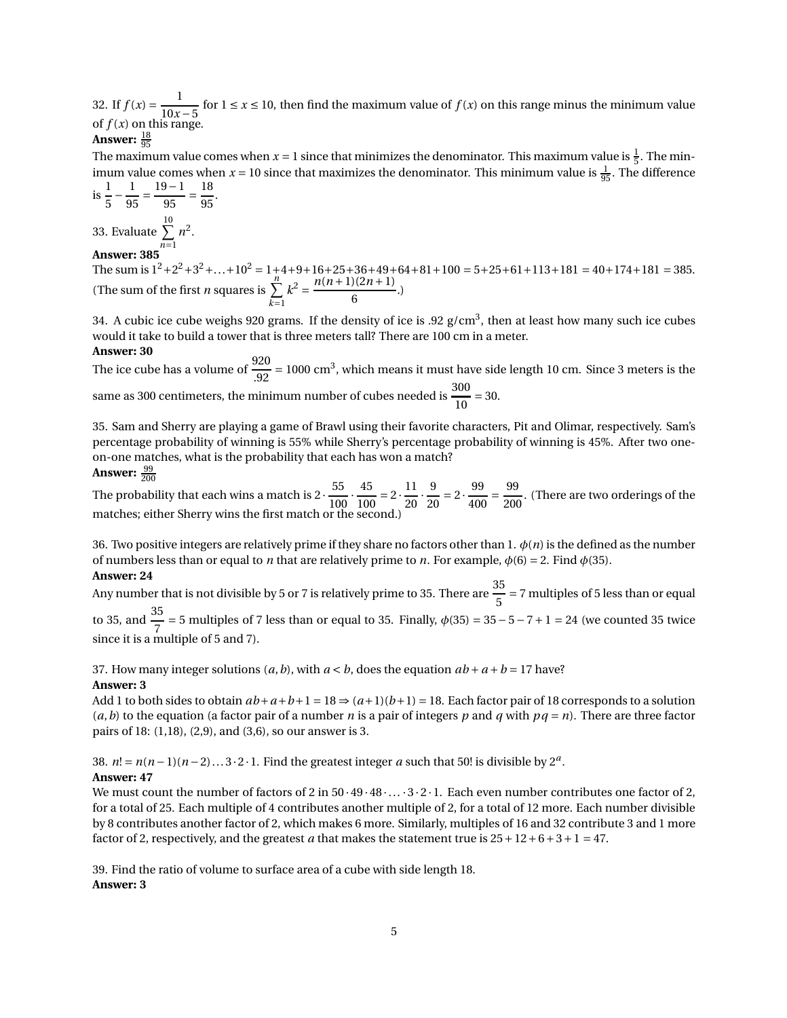32. If  $f(x) = \frac{1}{10x}$ 10*x* −5 for 1 ≤ *x* ≤ 10, then find the maximum value of *f* (*x*) on this range minus the minimum value of  $f(x)$  on this range.

## Answer: <u><sup>18</sup>95</u>

The maximum value comes when  $x = 1$  since that minimizes the denominator. This maximum value is  $\frac{1}{5}$ . The minimum value comes when  $x = 10$  since that maximizes the denominator. This minimum value is  $\frac{1}{95}$ . The difference

is 
$$
\frac{1}{5} - \frac{1}{95} = \frac{19 - 1}{95} = \frac{18}{95}
$$
.

33. Evaluate  $\sum n^2$ . *n*=1 **Answer: 385**

The sum is  $1^2 + 2^2 + 3^2 + ... + 10^2 = 1 + 4 + 9 + 16 + 25 + 36 + 49 + 64 + 81 + 100 = 5 + 25 + 61 + 113 + 181 = 40 + 174 + 181 = 385$ . (The sum of the first *n* squares is  $\sum_{n=1}^{n}$ *k*=1  $k^2 = \frac{n(n+1)(2n+1)}{6}$  $\frac{5(211+2)}{6}$ .)

34. A cubic ice cube weighs 920 grams. If the density of ice is .92  $g/cm^3$ , then at least how many such ice cubes would it take to build a tower that is three meters tall? There are 100 cm in a meter.

#### **Answer: 30**

The ice cube has a volume of  $\frac{920}{20}$  $\frac{920}{.92}$  = 1000 cm<sup>3</sup>, which means it must have side length 10 cm. Since 3 meters is the same as 300 centimeters, the minimum number of cubes needed is  $\frac{300}{10}$  $\frac{1}{10}$  = 30.

35. Sam and Sherry are playing a game of Brawl using their favorite characters, Pit and Olimar, respectively. Sam's percentage probability of winning is 55% while Sherry's percentage probability of winning is 45%. After two oneon-one matches, what is the probability that each has won a match?

#### **Answer:**  $\frac{99}{200}$ 200

The probability that each wins a match is 2  $\cdot \frac{55}{100}$  $\overline{100}$ . 45  $\frac{45}{100} = 2 \cdot \frac{11}{20}$  $\overline{20}$ . 9  $\frac{9}{20} = 2 \cdot \frac{99}{400}$  $\frac{1}{400}$  = 99  $\frac{200}{200}$ . (There are two orderings of the matches; either Sherry wins the first match or the second.)

36. Two positive integers are relatively prime if they share no factors other than 1. *φ*(*n*) is the defined as the number of numbers less than or equal to *n* that are relatively prime to *n*. For example,  $\phi(6) = 2$ . Find  $\phi(35)$ . **Answer: 24**

Any number that is not divisible by 5 or 7 is relatively prime to 35. There are  $\frac{35}{5}$  $\frac{1}{5}$  = 7 multiples of 5 less than or equal

to 35, and  $\frac{35}{7}$  $\frac{1}{7}$  = 5 multiples of 7 less than or equal to 35. Finally,  $\phi(35)$  = 35 – 5 – 7 + 1 = 24 (we counted 35 twice since it is a multiple of 5 and 7).

37. How many integer solutions  $(a, b)$ , with  $a < b$ , does the equation  $ab + a + b = 17$  have? **Answer: 3**

Add 1 to both sides to obtain  $ab+a+b+1=18 \Rightarrow (a+1)(b+1)=18$ . Each factor pair of 18 corresponds to a solution  $(a, b)$  to the equation (a factor pair of a number *n* is a pair of integers *p* and *q* with  $pq = n$ ). There are three factor pairs of 18: (1,18), (2,9), and (3,6), so our answer is 3.

38.  $n! = n(n-1)(n-2)...3 \cdot 2 \cdot 1$ . Find the greatest integer *a* such that 50! is divisible by  $2^a$ .

### **Answer: 47**

We must count the number of factors of 2 in  $50 \cdot 49 \cdot 48 \cdot ... \cdot 3 \cdot 2 \cdot 1$ . Each even number contributes one factor of 2, for a total of 25. Each multiple of 4 contributes another multiple of 2, for a total of 12 more. Each number divisible by 8 contributes another factor of 2, which makes 6 more. Similarly, multiples of 16 and 32 contribute 3 and 1 more factor of 2, respectively, and the greatest *a* that makes the statement true is  $25 + 12 + 6 + 3 + 1 = 47$ .

39. Find the ratio of volume to surface area of a cube with side length 18. **Answer: 3**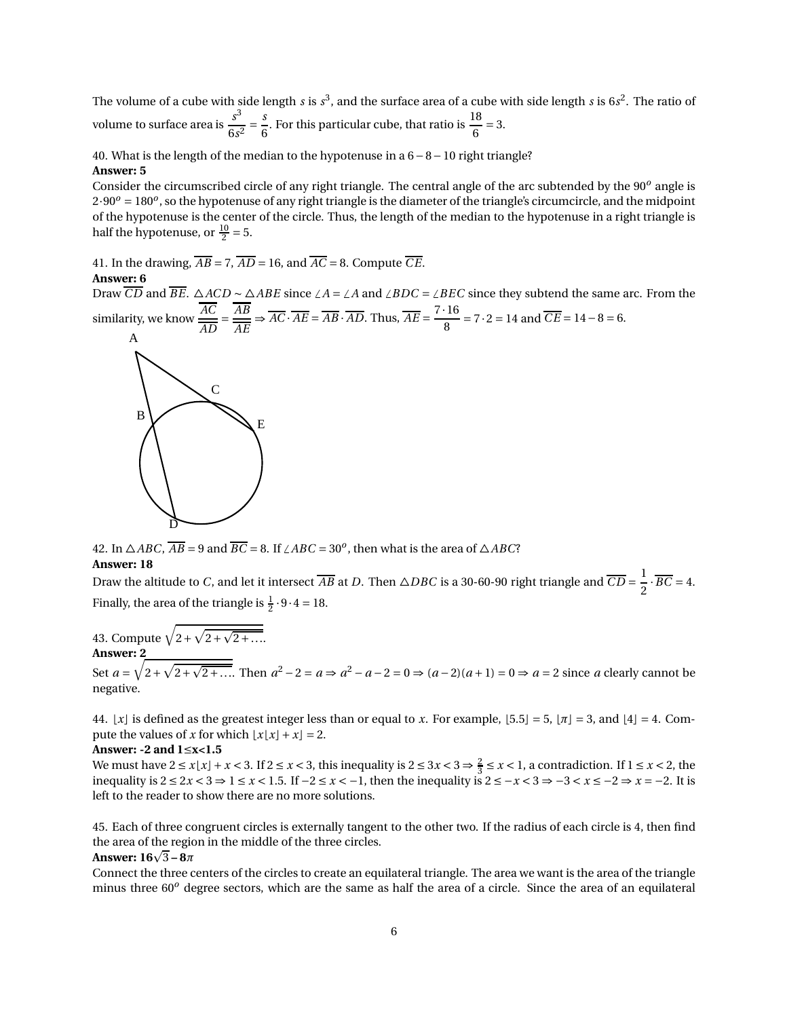The volume of a cube with side length *s* is *s* 3 , and the surface area of a cube with side length *s* is 6*s* 2 . The ratio of volume to surface area is  $\frac{s^3}{6}$  $\frac{1}{6s^2}$  = *s*  $\frac{s}{6}$ . For this particular cube, that ratio is  $\frac{18}{6}$  = 3.

40. What is the length of the median to the hypotenuse in a 6−8−10 right triangle? **Answer: 5**

Consider the circumscribed circle of any right triangle. The central angle of the arc subtended by the 90*<sup>o</sup>* angle is  $2.90^o = 180^o$ , so the hypotenuse of any right triangle is the diameter of the triangle's circumcircle, and the midpoint of the hypotenuse is the center of the circle. Thus, the length of the median to the hypotenuse in a right triangle is half the hypotenuse, or  $\frac{10}{2} = 5$ .

41. In the drawing,  $\overline{AB} = 7$ ,  $\overline{AD} = 16$ , and  $\overline{AC} = 8$ . Compute  $\overline{CE}$ .

#### **Answer: 6**

Draw  $\overline{CD}$  and  $\overline{BE}$ . △*ACD* ∼ △*ABE* since ∠*A* = ∠*A* and ∠*BDC* = ∠*BEC* since they subtend the same arc. From the similarity, we know *AC AB*  $\frac{AB}{\overline{AE}} \Rightarrow \overline{AC} \cdot \overline{AE} = \overline{AB} \cdot \overline{AD}$ . Thus,  $\overline{AE} = \frac{7 \cdot 16}{8}$  $\frac{1}{8}$  = 7·2 = 14 and *CE* = 14 - 8 = 6.



42. In  $\triangle ABC$ ,  $\overline{AB}$  = 9 and  $\overline{BC}$  = 8. If  $\angle ABC$  = 30<sup>*o*</sup>, then what is the area of  $\triangle ABC$ ? **Answer: 18**

Draw the altitude to *C*, and let it intersect  $\overline{AB}$  at *D*. Then  $\triangle DBC$  is a 30-60-90 right triangle and  $\overline{CD} = \frac{1}{2}$  $\frac{2}{2} \cdot BC = 4.$ Finally, the area of the triangle is  $\frac{1}{2} \cdot 9 \cdot 4 = 18$ .

43. Compute  $\sqrt{2+\sqrt{2+\sqrt{2+\ldots}}}}$ **Answer: 2**

Set  $a = \sqrt{2 + \sqrt{2 + \sqrt{2 + \dots}}}$ . Then  $a^2 - 2 = a \Rightarrow a^2 - a - 2 = 0 \Rightarrow (a - 2)(a + 1) = 0 \Rightarrow a = 2$  since *a* clearly cannot be negative.

44.  $\lfloor x \rfloor$  is defined as the greatest integer less than or equal to *x*. For example,  $\lfloor 5.5 \rfloor = 5$ ,  $\lfloor \pi \rfloor = 3$ , and  $\lfloor 4 \rfloor = 4$ . Compute the values of *x* for which  $\lfloor x \lfloor x \rfloor + x \rfloor = 2$ .

#### **Answer: -2 and 1**≤**x<1.5**

We must have  $2 \le x \le x \le 3$ . If  $2 \le x < 3$ , this inequality is  $2 \le 3x < 3 \Rightarrow \frac{2}{3} \le x < 1$ , a contradiction. If  $1 \le x < 2$ , the inequality is  $2 \le 2x < 3 \Rightarrow 1 \le x < 1.5$ . If  $-2 \le x < -1$ , then the inequality is  $2 \le -x < 3 \Rightarrow -3 < x \le -2 \Rightarrow x = -2$ . It is left to the reader to show there are no more solutions.

45. Each of three congruent circles is externally tangent to the other two. If the radius of each circle is 4, then find the area of the region in the middle of the three circles.

## **Answer:**  $16\sqrt{3} - 8\pi$

Connect the three centers of the circles to create an equilateral triangle. The area we want is the area of the triangle minus three 60*<sup>o</sup>* degree sectors, which are the same as half the area of a circle. Since the area of an equilateral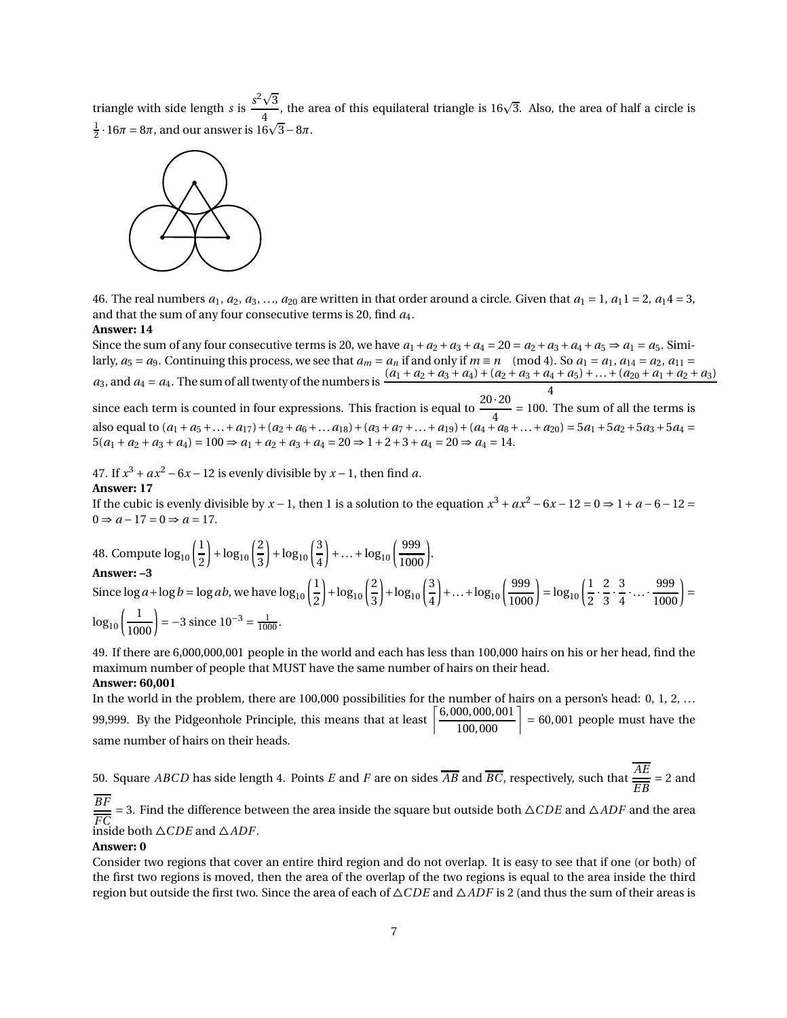triangle with side length *s* is  $\frac{s^2\sqrt{3}}{4}$  $\frac{\sqrt{3}}{4}$ , the area of this equilateral triangle is 16 $\sqrt{3}$ . Also, the area of half a circle is  $\frac{1}{2} \cdot 16\pi = 8\pi$ , and our answer is  $16\sqrt{3} - 8\pi$ .



46. The real numbers  $a_1, a_2, a_3, \ldots, a_{20}$  are written in that order around a circle. Given that  $a_1 = 1$ ,  $a_1 1 = 2$ ,  $a_1 4 = 3$ , and that the sum of any four consecutive terms is 20, find *a*4.

#### **Answer: 14**

Since the sum of any four consecutive terms is 20, we have  $a_1 + a_2 + a_3 + a_4 = 20 = a_2 + a_3 + a_4 + a_5 \Rightarrow a_1 = a_5$ . Similarly,  $a_5 = a_9$ . Continuing this process, we see that  $a_m = a_n$  if and only if  $m \equiv n \pmod{4}$ . So  $a_1 = a_1$ ,  $a_{14} = a_2$ ,  $a_{11} = a_3$  $a_3$ , and  $a_4 = a_4$ . The sum of all twenty of the numbers is  $\frac{(a_1 + a_2 + a_3 + a_4) + (a_2 + a_3 + a_4 + a_5) + ... + (a_{20} + a_1 + a_2 + a_3)}{4}$ since each term is counted in four expressions. This fraction is equal to  $\frac{20 \cdot 20}{4} = 100$ . The sum of all the terms is also equal to  $(a_1 + a_5 + ... + a_{17}) + (a_2 + a_6 + ... + a_{18}) + (a_3 + a_7 + ... + a_{19}) + (a_4 + a_8 + ... + a_{20}) = 5a_1 + 5a_2 + 5a_3 + 5a_4 = 5a_3 + 5a_4$  $5(a_1 + a_2 + a_3 + a_4) = 100 \Rightarrow a_1 + a_2 + a_3 + a_4 = 20 \Rightarrow 1 + 2 + 3 + a_4 = 20 \Rightarrow a_4 = 14.$ 

47. If  $x^3 + ax^2 - 6x - 12$  is evenly divisible by  $x - 1$ , then find *a*.

#### **Answer: 17**

If the cubic is evenly divisible by  $x - 1$ , then 1 is a solution to the equation  $x^3 + ax^2 - 6x - 12 = 0 \Rightarrow 1 + a - 6 - 12 = 0$  $0 \Rightarrow a-17 = 0 \Rightarrow a = 17.$ 

.

48. Compute 
$$
\log_{10} \left( \frac{1}{2} \right) + \log_{10} \left( \frac{2}{3} \right) + \log_{10} \left( \frac{3}{4} \right) + \dots + \log_{10} \left( \frac{999}{1000} \right)
$$
  
Answer: -3

#### **Answer: –3**

Since  $\log a + \log b = \log ab$ , we have  $\log_{10} \left( \frac{1}{2} \right)$ 2  $+\log_{10}\left(\frac{2}{3}\right)$ 3  $\left.\frac{3}{4}\right\}$  + log<sub>10</sub> $\left(\frac{3}{4}\right)$ 4  $\left(+\ldots+\log_{10}\left(\frac{999}{1000}\right)\right)=\log_{10}\left(\frac{1}{2}\right)$  $\overline{2}$ . 2 3 · 3  $\frac{3}{4}$  ...  $\cdot \frac{999}{1000}$  = 1

$$
\log_{10}\left(\frac{1}{1000}\right) = -3 \text{ since } 10^{-3} = \frac{1}{1000}.
$$

49. If there are 6,000,000,001 people in the world and each has less than 100,000 hairs on his or her head, find the maximum number of people that MUST have the same number of hairs on their head.

#### **Answer: 60,001**

In the world in the problem, there are 100,000 possibilities for the number of hairs on a person's head: 0, 1, 2, ... 99,999. By the Pidgeonhole Principle, this means that at least  $\left( \frac{6,000,000,001}{100,000} \right)$  = 60,001 people must have the same number of hairs on their heads.

50. Square *ABCD* has side length 4. Points *E* and *F* are on sides  $\overline{AB}$  and  $\overline{BC}$ , respectively, such that  $\frac{AE}{\overline{BC}}$  $\frac{1}{EB}$  = 2 and *BF*

*FC* inside both △*CDE* and △*ADF*. = 3. Find the difference between the area inside the square but outside both  $\triangle CDE$  and  $\triangle ADF$  and the area

#### **Answer: 0**

Consider two regions that cover an entire third region and do not overlap. It is easy to see that if one (or both) of the first two regions is moved, then the area of the overlap of the two regions is equal to the area inside the third region but outside the first two. Since the area of each of  $\triangle CDE$  and  $\triangle ADF$  is 2 (and thus the sum of their areas is